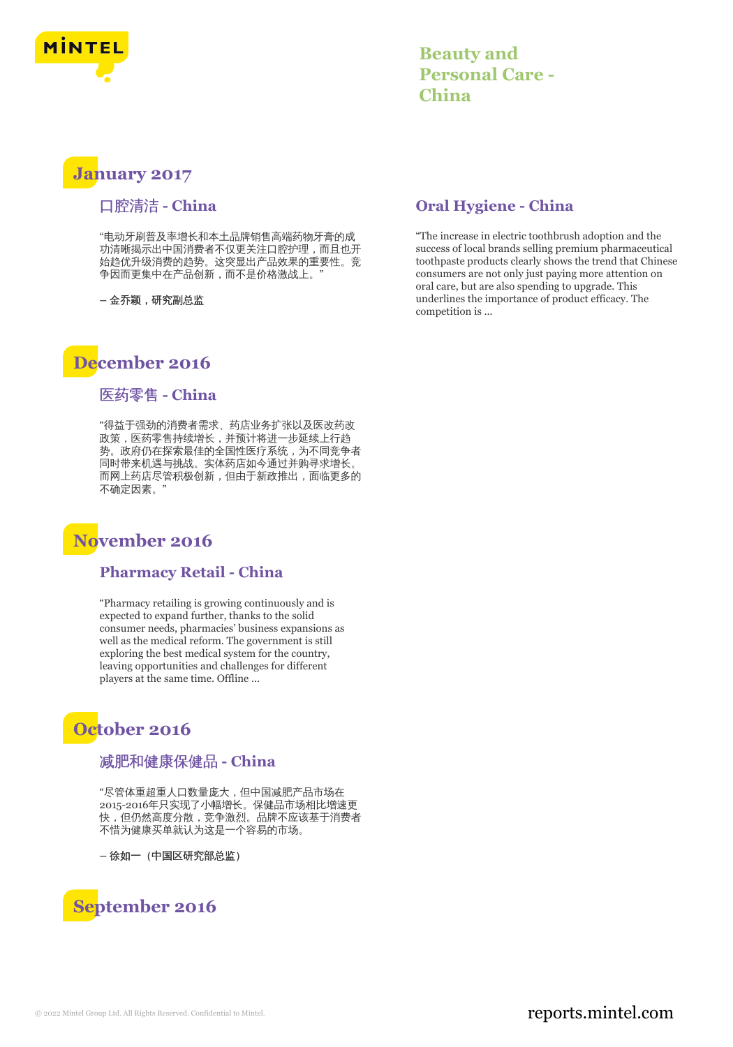

# **Beauty and Personal Care - China**

# **January 2017**

## 口腔清洁 **- China**

"电动牙刷普及率增长和本土品牌销售高端药物牙膏的成 功清晰揭示出中国消费者不仅更关注口腔护理,而且也开 始趋优升级消费的趋势。这突显出产品效果的重要性。竞 争因而更集中在产品创新,而不是价格激战上。"

**–** 金乔颖,研究副总监

# **December 2016**

## 医药零售 **- China**

"得益于强劲的消费者需求、药店业务扩张以及医改药改 政策,医药零售持续增长,并预计将进一步延续上行趋 势。政府仍在探索最佳的全国性医疗系统,为不同竞争者 同时带来机遇与挑战。实体药店如今通过并购寻求增长。 而网上药店尽管积极创新,但由于新政推出,面临更多的 不确定因素。"

# **November 2016**

#### **Pharmacy Retail - China**

"Pharmacy retailing is growing continuously and is expected to expand further, thanks to the solid consumer needs, pharmacies' business expansions as well as the medical reform. The government is still exploring the best medical system for the country, leaving opportunities and challenges for different players at the same time. Offline ...

# **October 2016**

## 减肥和健康保健品 **- China**

"尽管体重超重人口数量庞大,但中国减肥产品市场在 2015-2016年只实现了小幅增长。保健品市场相比增速更 快,但仍然高度分散,竞争激烈。品牌不应该基于消费者 不惜为健康买单就认为这是一个容易的市场。

**–** 徐如一(中国区研究部总监)

# **September 2016**

## **Oral Hygiene - China**

"The increase in electric toothbrush adoption and the success of local brands selling premium pharmaceutical toothpaste products clearly shows the trend that Chinese consumers are not only just paying more attention on oral care, but are also spending to upgrade. This underlines the importance of product efficacy. The competition is ...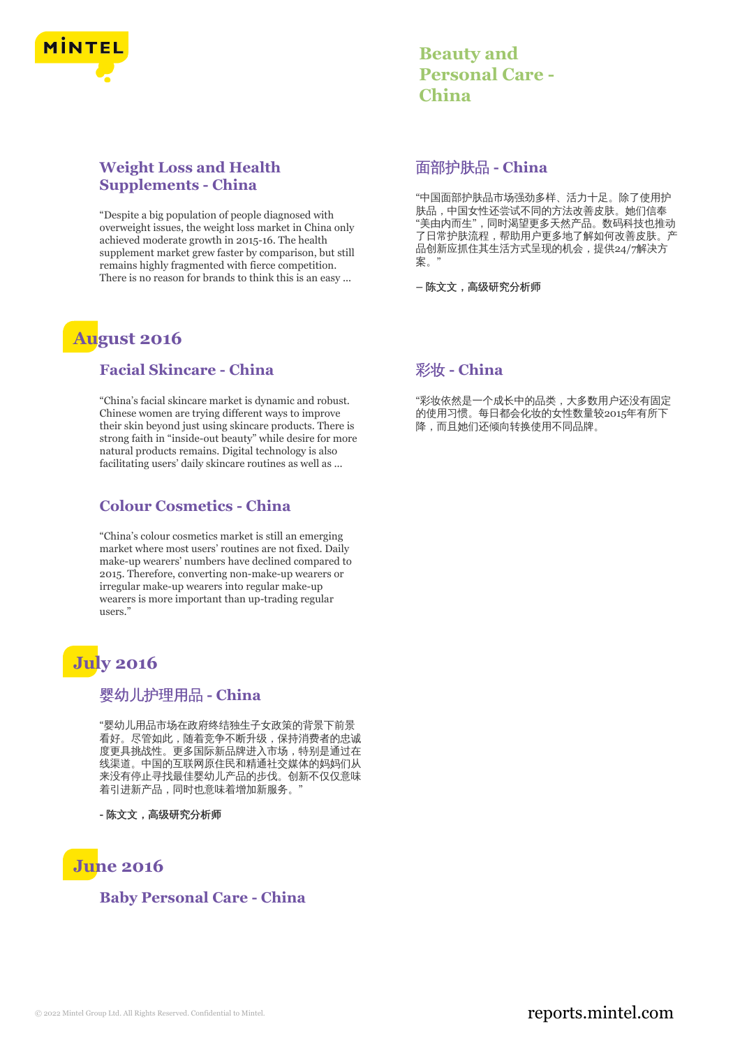

## **Weight Loss and Health Supplements - China**

"Despite a big population of people diagnosed with overweight issues, the weight loss market in China only achieved moderate growth in 2015-16. The health supplement market grew faster by comparison, but still remains highly fragmented with fierce competition. There is no reason for brands to think this is an easy ...

# **August 2016**

#### **Facial Skincare - China**

"China's facial skincare market is dynamic and robust. Chinese women are trying different ways to improve their skin beyond just using skincare products. There is strong faith in "inside-out beauty" while desire for more natural products remains. Digital technology is also facilitating users' daily skincare routines as well as ...

#### **Colour Cosmetics - China**

"China's colour cosmetics market is still an emerging market where most users' routines are not fixed. Daily make-up wearers' numbers have declined compared to 2015. Therefore, converting non-make-up wearers or irregular make-up wearers into regular make-up wearers is more important than up-trading regular users."

# **July 2016**

#### 婴幼儿护理用品 **- China**

"婴幼儿用品市场在政府终结独生子女政策的背景下前景 看好。尽管如此,随着竞争不断升级,保持消费者的忠诚 度更具挑战性。更多国际新品牌进入市场,特别是通过在 线渠道。中国的互联网原住民和精通社交媒体的妈妈们从 来没有停止寻找最佳婴幼儿产品的步伐。创新不仅仅意味 着引进新产品,同时也意味着增加新服务。

**-** 陈文文,高级研究分析师



#### **Baby Personal Care - China**

| <b>Beauty and</b>      |
|------------------------|
| <b>Personal Care -</b> |
| China                  |

#### 面部护肤品 **- China**

"中国面部护肤品市场强劲多样、活力十足。除了使用护 肤品,中国女性还尝试不同的方法改善皮肤。她们信奉 "美由内而生",同时渴望更多天然产品。数码科技也推动 了日常护肤流程,帮助用户更多地了解如何改善皮肤。产 品创新应抓住其生活方式呈现的机会,提供24/7解决方 案。"

**–** 陈文文,高级研究分析师

## 彩妆 **- China**

"彩妆依然是一个成长中的品类,大多数用户还没有固定 的使用习惯。每日都会化妆的女性数量较2015年有所下 降,而且她们还倾向转换使用不同品牌。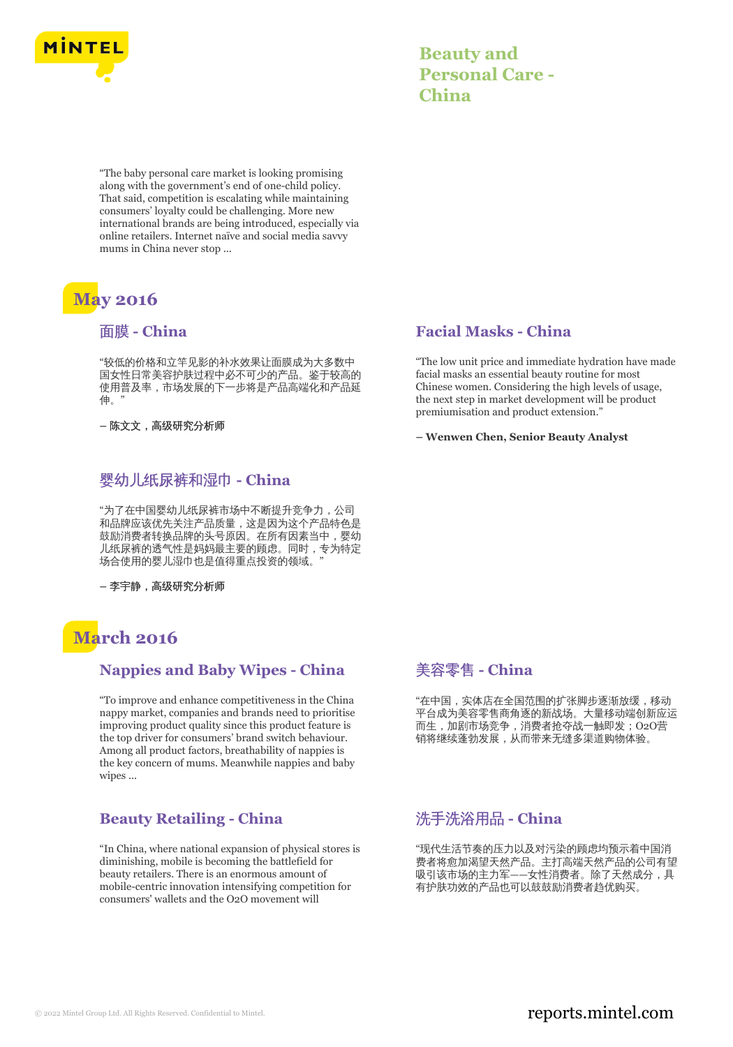

| <b>Beauty and</b>      |
|------------------------|
| <b>Personal Care -</b> |
| China                  |

"The baby personal care market is looking promising along with the government's end of one-child policy. That said, competition is escalating while maintaining consumers' loyalty could be challenging. More new international brands are being introduced, especially via online retailers. Internet naïve and social media savvy mums in China never stop ...

# **May 2016**

#### 面膜 **- China**

"较低的价格和立竿见影的补水效果让面膜成为大多数中 国女性日常美容护肤过程中必不可少的产品。鉴于较高的 使用普及率,市场发展的下一步将是产品高端化和产品延 伸。"

**–** 陈文文,高级研究分析师

## 婴幼儿纸尿裤和湿巾 **- China**

"为了在中国婴幼儿纸尿裤市场中不断提升竞争力,公司 和品牌应该优先关注产品质量,这是因为这个产品特色是 鼓励消费者转换品牌的头号原因。在所有因素当中,婴幼 儿纸尿裤的透气性是妈妈最主要的顾虑。同时,专为特定 场合使用的婴儿湿巾也是值得重点投资的领域。"

**–** 李宇静,高级研究分析师

# **March 2016**

## **Nappies and Baby Wipes - China**

"To improve and enhance competitiveness in the China nappy market, companies and brands need to prioritise improving product quality since this product feature is the top driver for consumers' brand switch behaviour. Among all product factors, breathability of nappies is the key concern of mums. Meanwhile nappies and baby wipes ...

## **Beauty Retailing - China**

"In China, where national expansion of physical stores is diminishing, mobile is becoming the battlefield for beauty retailers. There is an enormous amount of mobile-centric innovation intensifying competition for consumers' wallets and the O2O movement will

#### **Facial Masks - China**

"The low unit price and immediate hydration have made facial masks an essential beauty routine for most Chinese women. Considering the high levels of usage, the next step in market development will be product premiumisation and product extension."

**– Wenwen Chen, Senior Beauty Analyst**

## 美容零售 **- China**

"在中国,实体店在全国范围的扩张脚步逐渐放缓,移动 平台成为美容零售商角逐的新战场。大量移动端创新应运 而生,加剧市场竞争,消费者抢夺战一触即发;O2O营 销将继续蓬勃发展,从而带来无缝多渠道购物体验。

# 洗手洗浴用品 **- China**

"现代生活节奏的压力以及对污染的顾虑均预示着中国消 费者将愈加渴望天然产品。主打高端天然产品的公司有望 吸引该市场的主力军——女性消费者。除了天然成分,具 有护肤功效的产品也可以鼓鼓励消费者趋优购买。